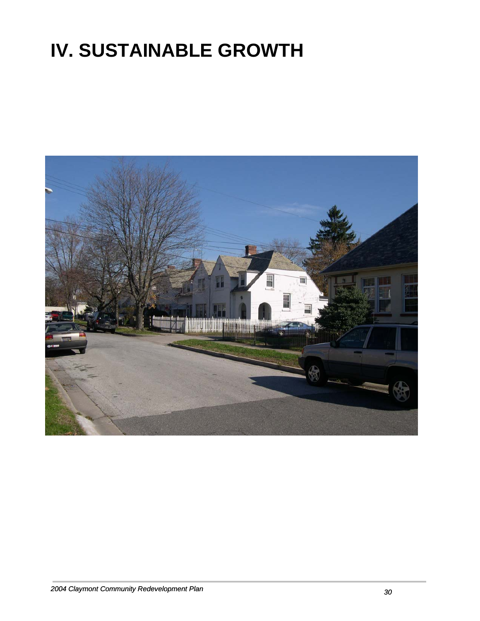# **IV. SUSTAINABLE GROWTH**

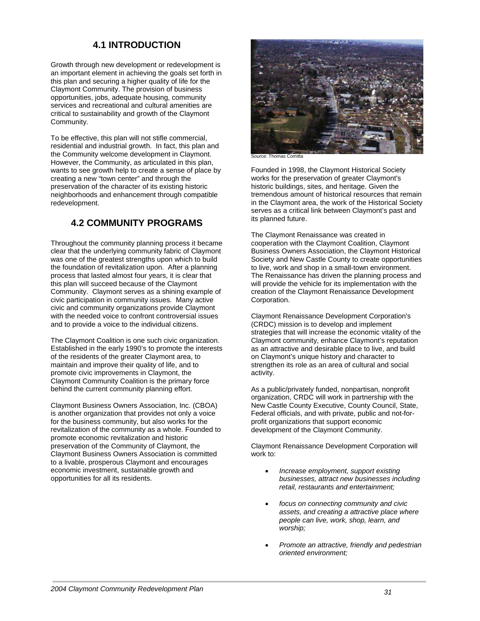## **4.1 INTRODUCTION**

Growth through new development or redevelopment is an important element in achieving the goals set forth in this plan and securing a higher quality of life for the Claymont Community. The provision of business opportunities, jobs, adequate housing, community services and recreational and cultural amenities are critical to sustainability and growth of the Claymont Community.

To be effective, this plan will not stifle commercial, residential and industrial growth. In fact, this plan and the Community welcome development in Claymont. However, the Community, as articulated in this plan, wants to see growth help to create a sense of place by creating a new "town center" and through the preservation of the character of its existing historic neighborhoods and enhancement through compatible redevelopment.

### **4.2 COMMUNITY PROGRAMS**

Throughout the community planning process it became clear that the underlying community fabric of Claymont was one of the greatest strengths upon which to build the foundation of revitalization upon. After a planning process that lasted almost four years, it is clear that this plan will succeed because of the Claymont Community. Claymont serves as a shining example of civic participation in community issues. Many active civic and community organizations provide Claymont with the needed voice to confront controversial issues and to provide a voice to the individual citizens.

The Claymont Coalition is one such civic organization. Established in the early 1990's to promote the interests of the residents of the greater Claymont area, to maintain and improve their quality of life, and to promote civic improvements in Claymont, the Claymont Community Coalition is the primary force behind the current community planning effort.

Claymont Business Owners Association, Inc. (CBOA) is another organization that provides not only a voice for the business community, but also works for the revitalization of the community as a whole. Founded to promote economic revitalization and historic preservation of the Community of Claymont, the Claymont Business Owners Association is committed to a livable, prosperous Claymont and encourages economic investment, sustainable growth and opportunities for all its residents.



Source: Thomas Comitta

Founded in 1998, the Claymont Historical Society works for the preservation of greater Claymont's historic buildings, sites, and heritage. Given the tremendous amount of historical resources that remain in the Claymont area, the work of the Historical Society serves as a critical link between Claymont's past and its planned future.

The Claymont Renaissance was created in cooperation with the Claymont Coalition, Claymont Business Owners Association, the Claymont Historical Society and New Castle County to create opportunities to live, work and shop in a small-town environment. The Renaissance has driven the planning process and will provide the vehicle for its implementation with the creation of the Claymont Renaissance Development Corporation.

Claymont Renaissance Development Corporation's (CRDC) mission is to develop and implement strategies that will increase the economic vitality of the Claymont community, enhance Claymont's reputation as an attractive and desirable place to live, and build on Claymont's unique history and character to strengthen its role as an area of cultural and social activity.

As a public/privately funded, nonpartisan, nonprofit organization, CRDC will work in partnership with the New Castle County Executive, County Council, State, Federal officials, and with private, public and not-forprofit organizations that support economic development of the Claymont Community.

Claymont Renaissance Development Corporation will work to:

- *Increase employment, support existing businesses, attract new businesses including retail, restaurants and entertainment;*
- *focus on connecting community and civic assets, and creating a attractive place where people can live, work, shop, learn, and worship;*
- *Promote an attractive, friendly and pedestrian oriented environment;*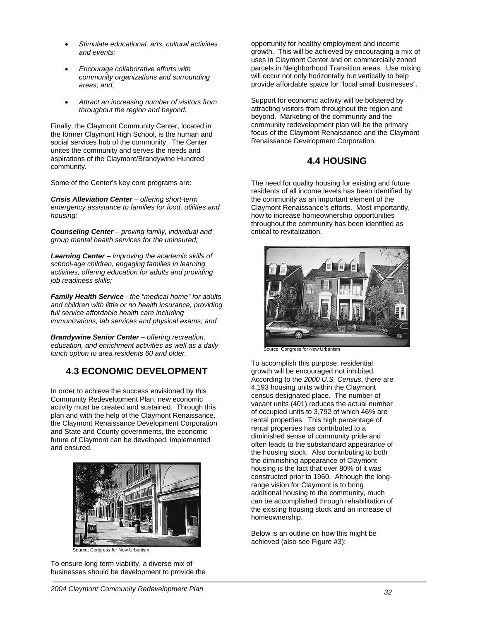- *Stimulate educational, arts, cultural activities and events;*
- *Encourage collaborative efforts with community organizations and surrounding areas; and,*
- *Attract an increasing number of visitors from throughout the region and beyond.*

Finally, the Claymont Community Center, located in the former Claymont High School, is the human and social services hub of the community. The Center unites the community and serves the needs and aspirations of the Claymont/Brandywine Hundred community.

Some of the Center's key core programs are:

*Crisis Alleviation Center – offering short-term emergency assistance to families for food, utilities and housing;* 

*Counseling Center – proving family, individual and group mental health services for the uninsured;* 

*Learning Center – improving the academic skills of school-age children, engaging families in learning activities, offering education for adults and providing job readiness skills;* 

*Family Health Service - the "medical home" for adults and children with little or no health insurance, providing full service affordable health care including immunizations, lab services and physical exams; and* 

*Brandywine Senior Center – offering recreation, education, and enrichment activities as well as a daily lunch option to area residents 60 and older.* 

## **4.3 ECONOMIC DEVELOPMENT**

In order to achieve the success envisioned by this Community Redevelopment Plan, new economic activity must be created and sustained. Through this plan and with the help of the Claymont Renaissance, the Claymont Renaissance Development Corporation and State and County governments, the economic future of Claymont can be developed, implemented and ensured.



ce: Congress for New Urbanism

To ensure long term viability, a diverse mix of businesses should be development to provide the opportunity for healthy employment and income growth. This will be achieved by encouraging a mix of uses in Claymont Center and on commercially zoned parcels in Neighborhood Transition areas. Use mixing will occur not only horizontally but vertically to help provide affordable space for "local small businesses".

Support for economic activity will be bolstered by attracting visitors from throughout the region and beyond. Marketing of the community and the community redevelopment plan will be the primary focus of the Claymont Renaissance and the Claymont Renaissance Development Corporation.

### **4.4 HOUSING**

The need for quality housing for existing and future residents of all income levels has been identified by the community as an important element of the Claymont Renaissance's efforts. Most importantly, how to increase homeownership opportunities throughout the community has been identified as critical to revitalization.



Source: Congress for New Urbanism

To accomplish this purpose, residential growth will be encouraged not inhibited. According to the *2000 U.S. Census*, there are 4,193 housing units within the Claymont census designated place. The number of vacant units (401) reduces the actual number of occupied units to 3,792 of which 46% are rental properties. This high percentage of rental properties has contributed to a diminished sense of community pride and often leads to the substandard appearance of the housing stock. Also contributing to both the diminishing appearance of Claymont housing is the fact that over 80% of it was constructed prior to 1960. Although the longrange vision for Claymont is to bring additional housing to the community, much can be accomplished through rehabilitation of the existing housing stock and an increase of homeownership.

Below is an outline on how this might be achieved (also see Figure #3):